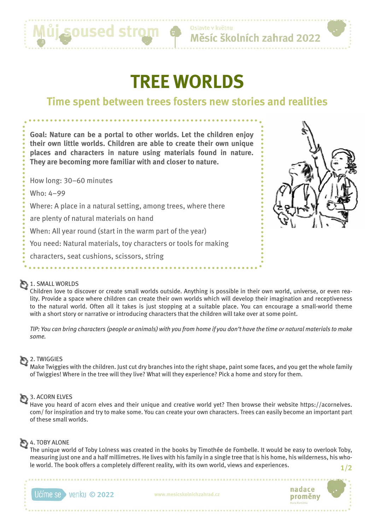

Oslavte v květnu Měsíc školních zahrad 2022

# **TREE WORLDS**

# **Time spent between trees fosters new stories and realities**

**Goal: Nature can be a portal to other worlds. Let the children enjoy their own little worlds. Children are able to create their own unique places and characters in nature using materials found in nature. They are becoming more familiar with and closer to nature.**

How long: 30–60 minutes

Who: 4–99

Where: A place in a natural setting, among trees, where there

are plenty of natural materials on hand

When: All year round (start in the warm part of the year)

You need: Natural materials, toy characters or tools for making

characters, seat cushions, scissors, string



## 1. SMALL WORLDS

Children love to discover or create small worlds outside. Anything is possible in their own world, universe, or even reality. Provide a space where children can create their own worlds which will develop their imagination and receptiveness to the natural world. Often all it takes is just stopping at a suitable place. You can encourage a small-world theme with a short story or narrative or introducing characters that the children will take over at some point.

*TIP: You can bring characters (people or animals) with you from home if you don't have the time or natural materials to make some.*

#### $\sum$  2. TWIGGIES

Make Twiggies with the children. Just cut dry branches into the right shape, paint some faces, and you get the whole family of Twiggies! Where in the tree will they live? What will they experience? Pick a home and story for them.

# 3. ACORN ELVES

Have you heard of acorn elves and their unique and creative world yet? Then browse their website https://acornelves. com/ for inspiration and try to make some. You can create your own characters. Trees can easily become an important part of these small worlds.

# 4. TOBY ALONE

The unique world of Toby Lolness was created in the books by Timothée de Fombelle. It would be easy to overlook Toby, measuring just one and a half millimetres. He lives with his family in a single tree that is his home, his wilderness, his whole world. The book offers a completely different reality, with its own world, views and experiences. **1/2**